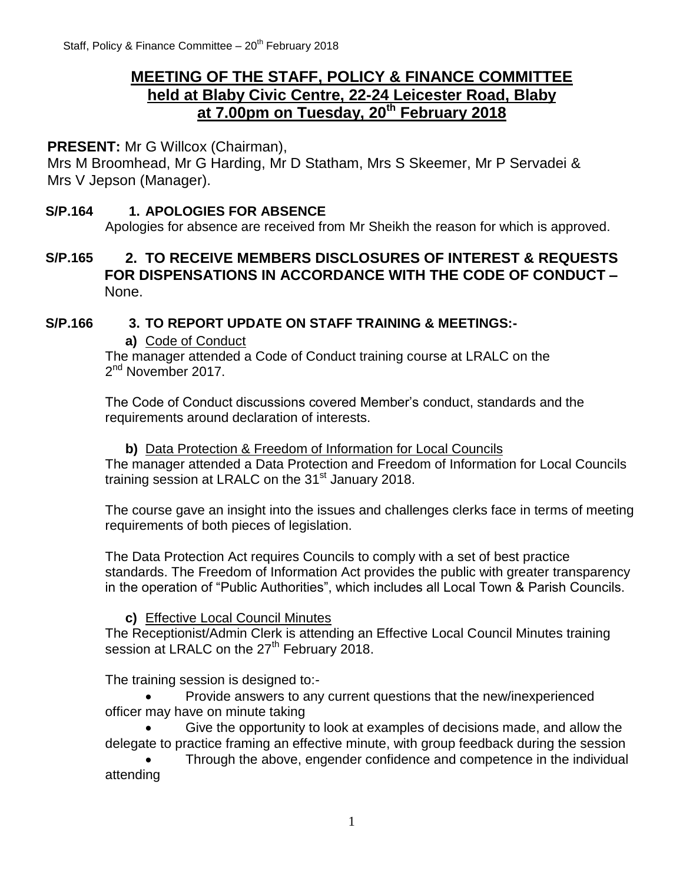# **MEETING OF THE STAFF, POLICY & FINANCE COMMITTEE held at Blaby Civic Centre, 22-24 Leicester Road, Blaby at 7.00pm on Tuesday, 20th February 2018**

# **PRESENT:** Mr G Willcox (Chairman),

Mrs M Broomhead, Mr G Harding, Mr D Statham, Mrs S Skeemer, Mr P Servadei & Mrs V Jepson (Manager).

#### **S/P.164 1. APOLOGIES FOR ABSENCE**

Apologies for absence are received from Mr Sheikh the reason for which is approved.

# **S/P.165 2. TO RECEIVE MEMBERS DISCLOSURES OF INTEREST & REQUESTS FOR DISPENSATIONS IN ACCORDANCE WITH THE CODE OF CONDUCT –** None.

#### **S/P.166 3. TO REPORT UPDATE ON STAFF TRAINING & MEETINGS:-**

#### **a)** Code of Conduct

The manager attended a Code of Conduct training course at LRALC on the 2<sup>nd</sup> November 2017.

The Code of Conduct discussions covered Member's conduct, standards and the requirements around declaration of interests.

**b)** Data Protection & Freedom of Information for Local Councils The manager attended a Data Protection and Freedom of Information for Local Councils training session at LRALC on the 31<sup>st</sup> January 2018.

The course gave an insight into the issues and challenges clerks face in terms of meeting requirements of both pieces of legislation.

The Data Protection Act requires Councils to comply with a set of best practice standards. The Freedom of Information Act provides the public with greater transparency in the operation of "Public Authorities", which includes all Local Town & Parish Councils.

#### **c)** Effective Local Council Minutes

The Receptionist/Admin Clerk is attending an Effective Local Council Minutes training session at LRALC on the 27<sup>th</sup> February 2018.

The training session is designed to:-

 Provide answers to any current questions that the new/inexperienced officer may have on minute taking

 Give the opportunity to look at examples of decisions made, and allow the delegate to practice framing an effective minute, with group feedback during the session

 Through the above, engender confidence and competence in the individual attending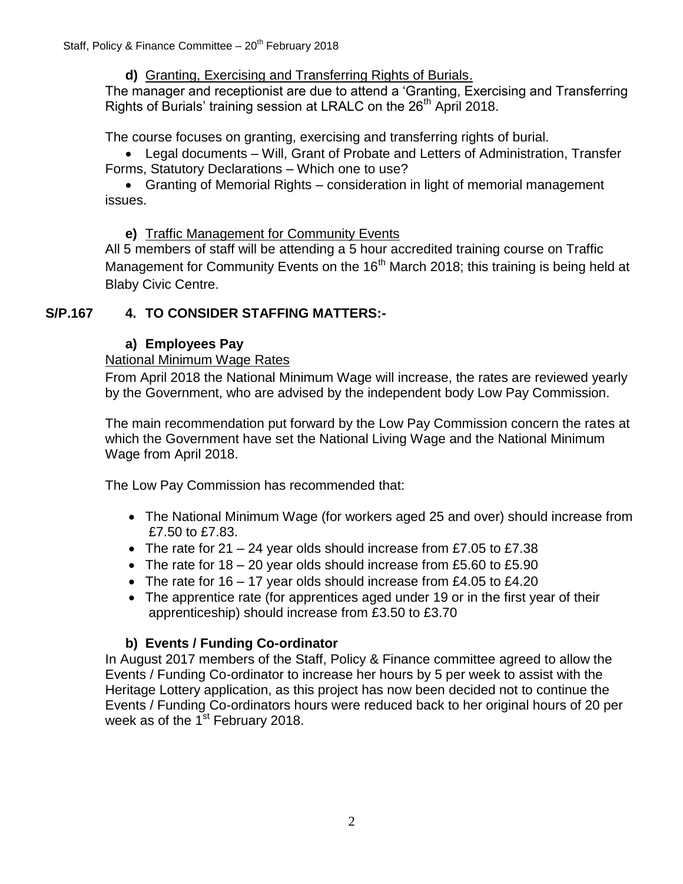## **d)** Granting, Exercising and Transferring Rights of Burials.

The manager and receptionist are due to attend a 'Granting, Exercising and Transferring Rights of Burials' training session at LRALC on the 26<sup>th</sup> April 2018.

The course focuses on granting, exercising and transferring rights of burial.

 Legal documents – Will, Grant of Probate and Letters of Administration, Transfer Forms, Statutory Declarations – Which one to use?

 Granting of Memorial Rights – consideration in light of memorial management issues.

**e)** Traffic Management for Community Events

All 5 members of staff will be attending a 5 hour accredited training course on Traffic Management for Community Events on the 16<sup>th</sup> March 2018; this training is being held at Blaby Civic Centre.

## **S/P.167 4. TO CONSIDER STAFFING MATTERS:-**

# **a) Employees Pay**

## National Minimum Wage Rates

From April 2018 the National Minimum Wage will increase, the rates are reviewed yearly by the Government, who are advised by the independent body Low Pay Commission.

The main recommendation put forward by the Low Pay Commission concern the rates at which the Government have set the National Living Wage and the National Minimum Wage from April 2018.

The Low Pay Commission has recommended that:

- The National Minimum Wage (for workers aged 25 and over) should increase from £7.50 to £7.83.
- The rate for  $21 24$  year olds should increase from £7.05 to £7.38
- The rate for 18 20 year olds should increase from £5.60 to £5.90
- The rate for  $16 17$  year olds should increase from £4.05 to £4.20
- The apprentice rate (for apprentices aged under 19 or in the first year of their apprenticeship) should increase from £3.50 to £3.70

# **b) Events / Funding Co-ordinator**

In August 2017 members of the Staff, Policy & Finance committee agreed to allow the Events / Funding Co-ordinator to increase her hours by 5 per week to assist with the Heritage Lottery application, as this project has now been decided not to continue the Events / Funding Co-ordinators hours were reduced back to her original hours of 20 per week as of the  $1<sup>st</sup>$  February 2018.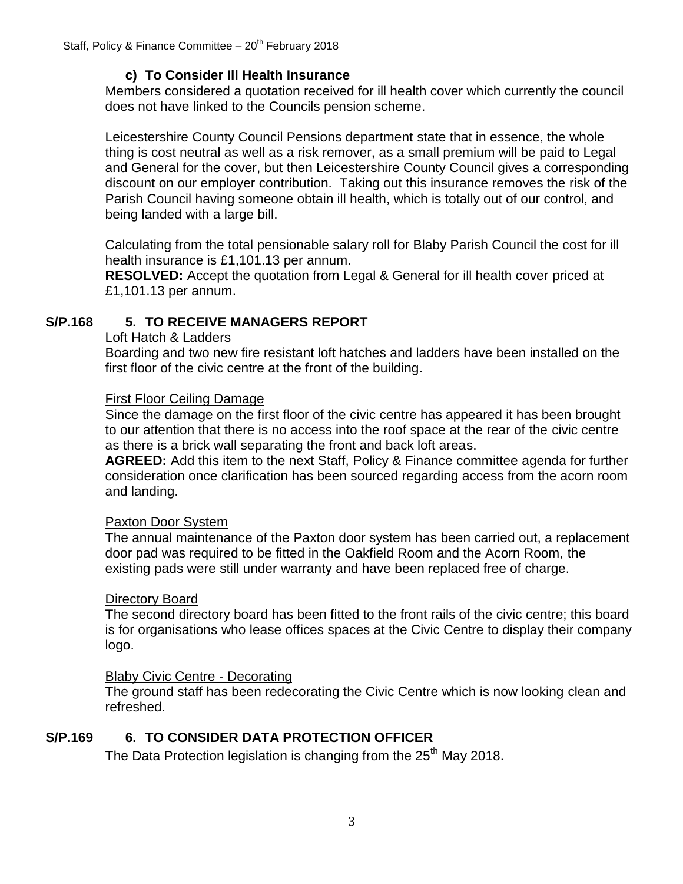## **c) To Consider Ill Health Insurance**

Members considered a quotation received for ill health cover which currently the council does not have linked to the Councils pension scheme.

Leicestershire County Council Pensions department state that in essence, the whole thing is cost neutral as well as a risk remover, as a small premium will be paid to Legal and General for the cover, but then Leicestershire County Council gives a corresponding discount on our employer contribution. Taking out this insurance removes the risk of the Parish Council having someone obtain ill health, which is totally out of our control, and being landed with a large bill.

Calculating from the total pensionable salary roll for Blaby Parish Council the cost for ill health insurance is £1,101.13 per annum.

**RESOLVED:** Accept the quotation from Legal & General for ill health cover priced at £1,101.13 per annum.

## **S/P.168 5. TO RECEIVE MANAGERS REPORT**

#### Loft Hatch & Ladders

Boarding and two new fire resistant loft hatches and ladders have been installed on the first floor of the civic centre at the front of the building.

#### First Floor Ceiling Damage

Since the damage on the first floor of the civic centre has appeared it has been brought to our attention that there is no access into the roof space at the rear of the civic centre as there is a brick wall separating the front and back loft areas.

**AGREED:** Add this item to the next Staff, Policy & Finance committee agenda for further consideration once clarification has been sourced regarding access from the acorn room and landing.

#### Paxton Door System

The annual maintenance of the Paxton door system has been carried out, a replacement door pad was required to be fitted in the Oakfield Room and the Acorn Room, the existing pads were still under warranty and have been replaced free of charge.

## Directory Board

The second directory board has been fitted to the front rails of the civic centre; this board is for organisations who lease offices spaces at the Civic Centre to display their company logo.

## Blaby Civic Centre - Decorating

The ground staff has been redecorating the Civic Centre which is now looking clean and refreshed.

## **S/P.169 6. TO CONSIDER DATA PROTECTION OFFICER**

The Data Protection legislation is changing from the  $25<sup>th</sup>$  May 2018.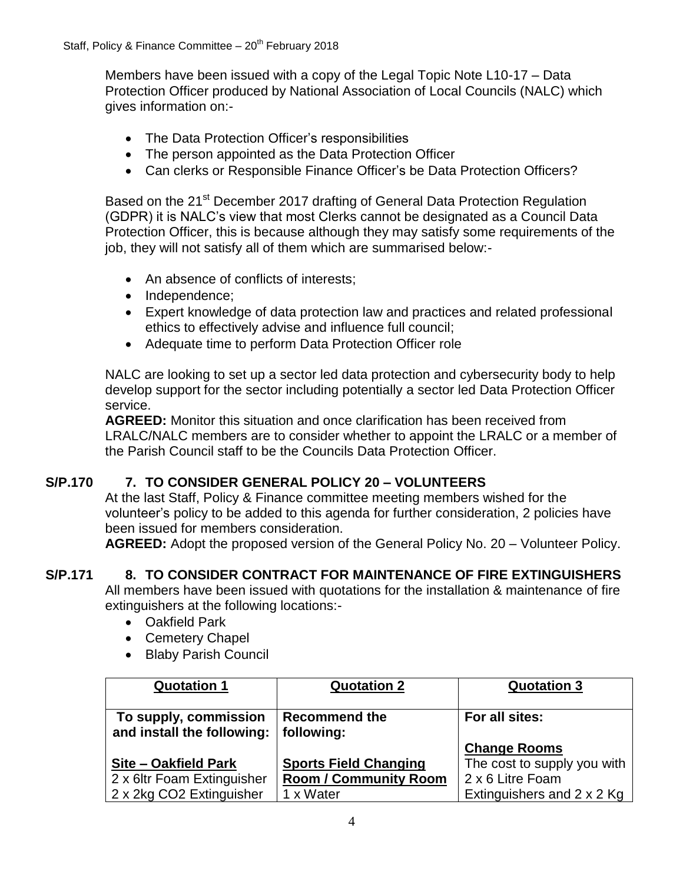Members have been issued with a copy of the Legal Topic Note L10-17 – Data Protection Officer produced by National Association of Local Councils (NALC) which gives information on:-

- The Data Protection Officer's responsibilities
- The person appointed as the Data Protection Officer
- Can clerks or Responsible Finance Officer's be Data Protection Officers?

Based on the 21<sup>st</sup> December 2017 drafting of General Data Protection Regulation (GDPR) it is NALC's view that most Clerks cannot be designated as a Council Data Protection Officer, this is because although they may satisfy some requirements of the job, they will not satisfy all of them which are summarised below:-

- An absence of conflicts of interests;
- Independence:
- Expert knowledge of data protection law and practices and related professional ethics to effectively advise and influence full council;
- Adequate time to perform Data Protection Officer role

NALC are looking to set up a sector led data protection and cybersecurity body to help develop support for the sector including potentially a sector led Data Protection Officer service.

**AGREED:** Monitor this situation and once clarification has been received from LRALC/NALC members are to consider whether to appoint the LRALC or a member of the Parish Council staff to be the Councils Data Protection Officer.

## **S/P.170 7. TO CONSIDER GENERAL POLICY 20 – VOLUNTEERS**

At the last Staff, Policy & Finance committee meeting members wished for the volunteer's policy to be added to this agenda for further consideration, 2 policies have been issued for members consideration.

**AGREED:** Adopt the proposed version of the General Policy No. 20 – Volunteer Policy.

## **S/P.171 8. TO CONSIDER CONTRACT FOR MAINTENANCE OF FIRE EXTINGUISHERS**

All members have been issued with quotations for the installation & maintenance of fire extinguishers at the following locations:-

- Oakfield Park
- Cemetery Chapel
- Blaby Parish Council

| <b>Quotation 1</b>                                  | <b>Quotation 2</b>                 | <b>Quotation 3</b>          |
|-----------------------------------------------------|------------------------------------|-----------------------------|
| To supply, commission<br>and install the following: | <b>Recommend the</b><br>following: | For all sites:              |
|                                                     |                                    | <b>Change Rooms</b>         |
| Site - Oakfield Park                                | <b>Sports Field Changing</b>       | The cost to supply you with |
| 2 x 6ltr Foam Extinguisher                          | <b>Room / Community Room</b>       | 2 x 6 Litre Foam            |
| 2 x 2kg CO2 Extinguisher                            | 1 x Water                          | Extinguishers and 2 x 2 Kg  |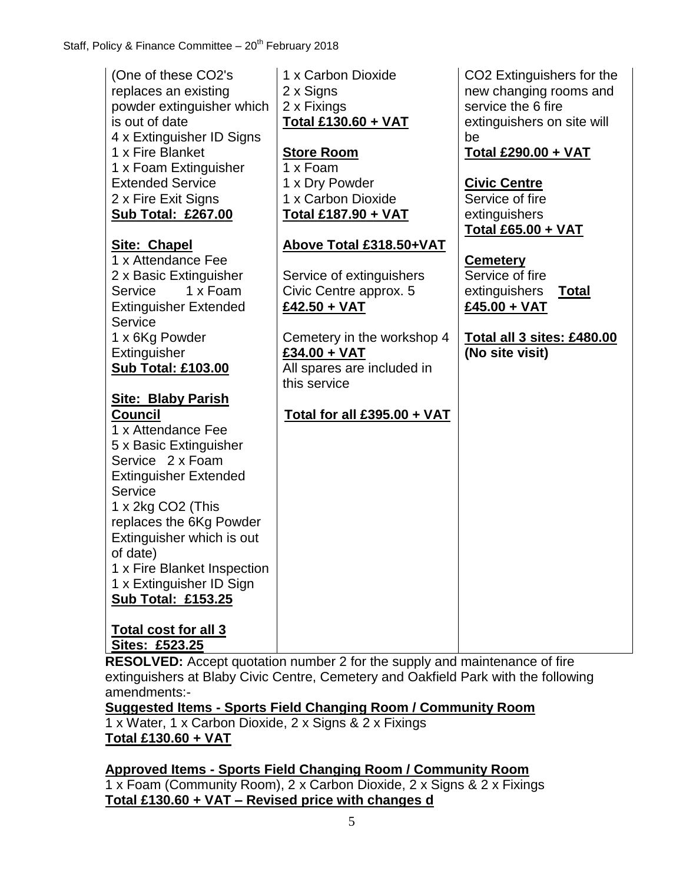| (One of these CO2's<br>replaces an existing<br>powder extinguisher which<br>is out of date<br>4 x Extinguisher ID Signs<br>1 x Fire Blanket<br>1 x Foam Extinguisher<br><b>Extended Service</b><br>2 x Fire Exit Signs<br><b>Sub Total: £267.00</b>                                                                                                                                   | 1 x Carbon Dioxide<br>2 x Signs<br>2 x Fixings<br><b>Total £130.60 + VAT</b><br><b>Store Room</b><br>1 x Foam<br>1 x Dry Powder<br>1 x Carbon Dioxide<br><b>Total £187.90 + VAT</b>       | CO <sub>2</sub> Extinguishers for the<br>new changing rooms and<br>service the 6 fire<br>extinguishers on site will<br>be<br><b>Total £290.00 + VAT</b><br><b>Civic Centre</b><br>Service of fire<br>extinguishers |
|---------------------------------------------------------------------------------------------------------------------------------------------------------------------------------------------------------------------------------------------------------------------------------------------------------------------------------------------------------------------------------------|-------------------------------------------------------------------------------------------------------------------------------------------------------------------------------------------|--------------------------------------------------------------------------------------------------------------------------------------------------------------------------------------------------------------------|
| <b>Site: Chapel</b><br>1 x Attendance Fee<br>2 x Basic Extinguisher<br>1 x Foam<br>Service<br><b>Extinguisher Extended</b><br>Service<br>1 x 6Kg Powder<br>Extinguisher<br><b>Sub Total: £103.00</b>                                                                                                                                                                                  | Above Total £318.50+VAT<br>Service of extinguishers<br>Civic Centre approx. 5<br>£42.50 + VAT<br>Cemetery in the workshop 4<br>£34.00 + VAT<br>All spares are included in<br>this service | <b>Total £65.00 + VAT</b><br><b>Cemetery</b><br>Service of fire<br>extinguishers<br><u>Total</u><br>£45.00 + VAT<br>Total all 3 sites: £480.00<br>(No site visit)                                                  |
| <b>Site: Blaby Parish</b><br><b>Council</b><br>1 x Attendance Fee<br>5 x Basic Extinguisher<br>Service 2 x Foam<br><b>Extinguisher Extended</b><br>Service<br>1 x 2kg CO2 (This<br>replaces the 6Kg Powder<br>Extinguisher which is out<br>of date)<br>1 x Fire Blanket Inspection<br>1 x Extinguisher ID Sign<br><b>Sub Total: £153.25</b><br>Total cost for all 3<br>Sites: £523.25 | <u>Total for all £395.00 + VAT</u>                                                                                                                                                        |                                                                                                                                                                                                                    |

**RESOLVED:** Accept quotation number 2 for the supply and maintenance of fire extinguishers at Blaby Civic Centre, Cemetery and Oakfield Park with the following amendments:-

**Suggested Items - Sports Field Changing Room / Community Room**

1 x Water, 1 x Carbon Dioxide, 2 x Signs & 2 x Fixings **Total £130.60 + VAT**

# **Approved Items - Sports Field Changing Room / Community Room**

1 x Foam (Community Room), 2 x Carbon Dioxide, 2 x Signs & 2 x Fixings **Total £130.60 + VAT – Revised price with changes d**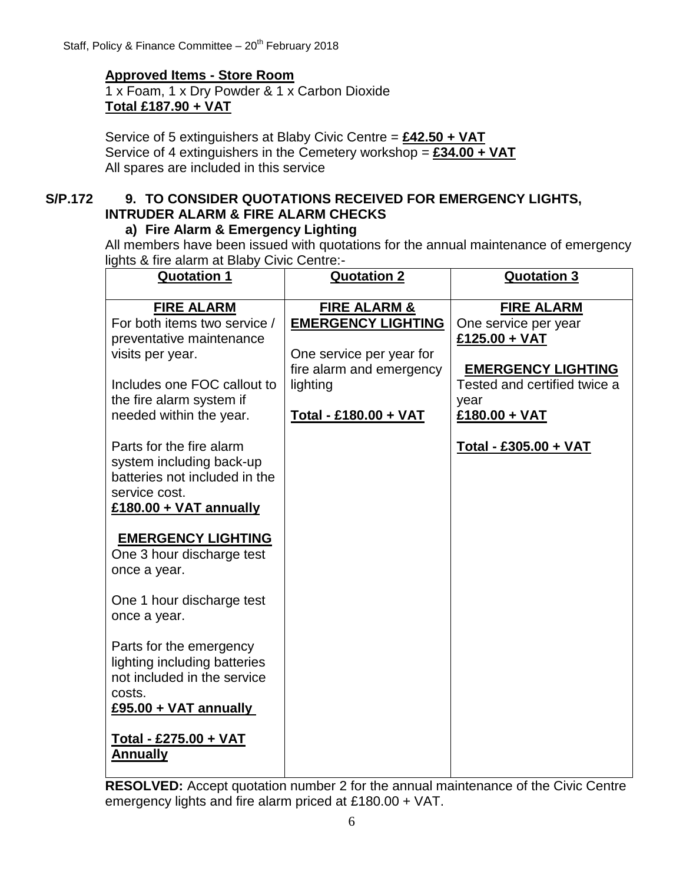# **Approved Items - Store Room**

1 x Foam, 1 x Dry Powder & 1 x Carbon Dioxide **Total £187.90 + VAT**

Service of 5 extinguishers at Blaby Civic Centre = **£42.50 + VAT** Service of 4 extinguishers in the Cemetery workshop = **£34.00 + VAT** All spares are included in this service

# **S/P.172 9. TO CONSIDER QUOTATIONS RECEIVED FOR EMERGENCY LIGHTS, INTRUDER ALARM & FIRE ALARM CHECKS**

## **a) Fire Alarm & Emergency Lighting**

All members have been issued with quotations for the annual maintenance of emergency lights & fire alarm at Blaby Civic Centre:-

| <b>Quotation 1</b>                                                                                                                                                                                                                                                                                                                                                                                                                                                                                                                                                                                                          | <b>Quotation 2</b>                                                                                                                                | <b>Quotation 3</b>                                                                                                                                                                 |
|-----------------------------------------------------------------------------------------------------------------------------------------------------------------------------------------------------------------------------------------------------------------------------------------------------------------------------------------------------------------------------------------------------------------------------------------------------------------------------------------------------------------------------------------------------------------------------------------------------------------------------|---------------------------------------------------------------------------------------------------------------------------------------------------|------------------------------------------------------------------------------------------------------------------------------------------------------------------------------------|
| <b>FIRE ALARM</b><br>For both items two service /<br>preventative maintenance<br>visits per year.<br>Includes one FOC callout to<br>the fire alarm system if<br>needed within the year.<br>Parts for the fire alarm<br>system including back-up<br>batteries not included in the<br>service cost.<br>£180.00 + VAT annually<br><b>EMERGENCY LIGHTING</b><br>One 3 hour discharge test<br>once a year.<br>One 1 hour discharge test<br>once a year.<br>Parts for the emergency<br>lighting including batteries<br>not included in the service<br>costs.<br>£95.00 + VAT annually<br>Total - £275.00 + VAT<br><b>Annually</b> | <b>FIRE ALARM &amp;</b><br><b>EMERGENCY LIGHTING</b><br>One service per year for<br>fire alarm and emergency<br>lighting<br>Total - £180.00 + VAT | <b>FIRE ALARM</b><br>One service per year<br>$£125.00 + VAT$<br><b>EMERGENCY LIGHTING</b><br>Tested and certified twice a<br>year<br>£180.00 + VAT<br><u>Total - £305.00 + VAT</u> |
|                                                                                                                                                                                                                                                                                                                                                                                                                                                                                                                                                                                                                             |                                                                                                                                                   |                                                                                                                                                                                    |

**RESOLVED:** Accept quotation number 2 for the annual maintenance of the Civic Centre emergency lights and fire alarm priced at £180.00 + VAT.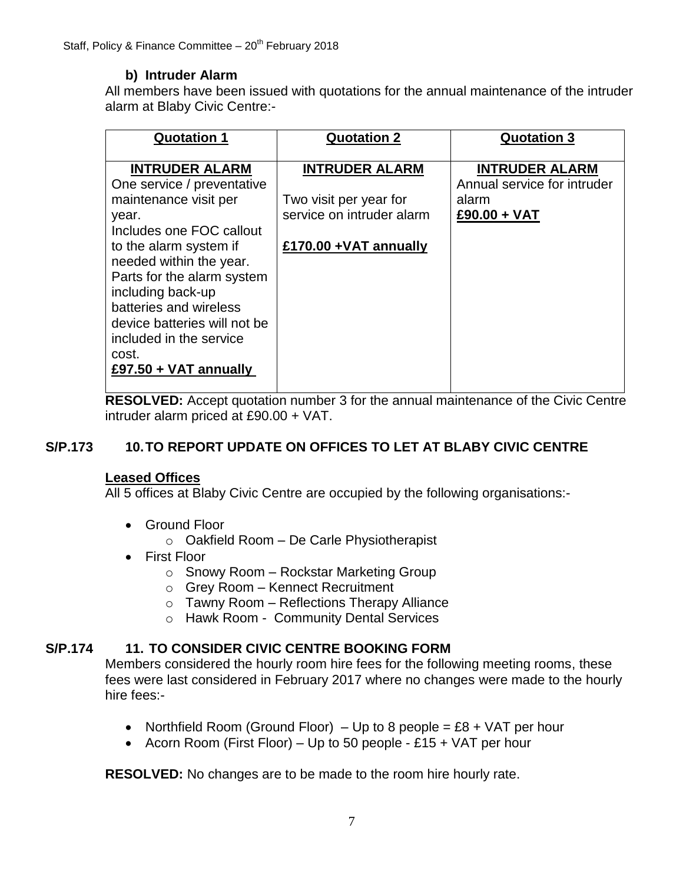# **b) Intruder Alarm**

All members have been issued with quotations for the annual maintenance of the intruder alarm at Blaby Civic Centre:-

| <b>Quotation 1</b>                                                                                                                                                                                                                                                                                                                                 | <b>Quotation 2</b>                                                                                     | <b>Quotation 3</b>                                                              |
|----------------------------------------------------------------------------------------------------------------------------------------------------------------------------------------------------------------------------------------------------------------------------------------------------------------------------------------------------|--------------------------------------------------------------------------------------------------------|---------------------------------------------------------------------------------|
| <b>INTRUDER ALARM</b><br>One service / preventative<br>maintenance visit per<br>year.<br>Includes one FOC callout<br>to the alarm system if<br>needed within the year.<br>Parts for the alarm system<br>including back-up<br>batteries and wireless<br>device batteries will not be<br>included in the service<br>cost.<br>£97.50 + $VAT$ annually | <b>INTRUDER ALARM</b><br>Two visit per year for<br>service on intruder alarm<br>£170.00 + VAT annually | <b>INTRUDER ALARM</b><br>Annual service for intruder<br>alarm<br>$£90.00 + VAT$ |

**RESOLVED:** Accept quotation number 3 for the annual maintenance of the Civic Centre intruder alarm priced at £90.00 + VAT.

# **S/P.173 10.TO REPORT UPDATE ON OFFICES TO LET AT BLABY CIVIC CENTRE**

#### **Leased Offices**

All 5 offices at Blaby Civic Centre are occupied by the following organisations:-

- Ground Floor
	- $\circ$  Oakfield Room De Carle Physiotherapist
- First Floor
	- o Snowy Room Rockstar Marketing Group
	- o Grey Room Kennect Recruitment
	- $\circ$  Tawny Room Reflections Therapy Alliance
	- o Hawk Room Community Dental Services

## **S/P.174 11. TO CONSIDER CIVIC CENTRE BOOKING FORM**

Members considered the hourly room hire fees for the following meeting rooms, these fees were last considered in February 2017 where no changes were made to the hourly hire fees:-

- Northfield Room (Ground Floor) Up to 8 people = £8 + VAT per hour
- Acorn Room (First Floor) Up to 50 people £15 + VAT per hour

**RESOLVED:** No changes are to be made to the room hire hourly rate.